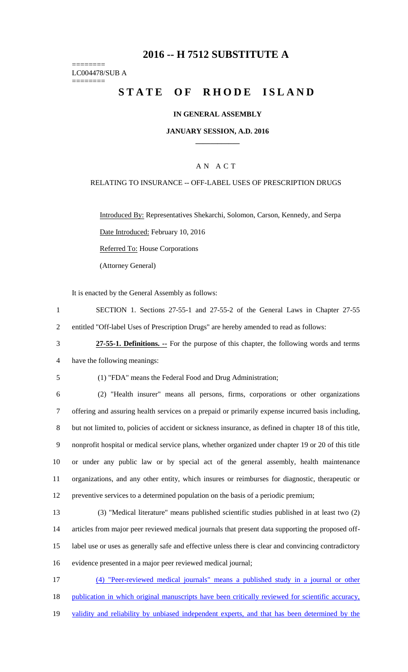# **2016 -- H 7512 SUBSTITUTE A**

======== LC004478/SUB A ========

# STATE OF RHODE ISLAND

## **IN GENERAL ASSEMBLY**

#### **JANUARY SESSION, A.D. 2016 \_\_\_\_\_\_\_\_\_\_\_\_**

## A N A C T

## RELATING TO INSURANCE -- OFF-LABEL USES OF PRESCRIPTION DRUGS

Introduced By: Representatives Shekarchi, Solomon, Carson, Kennedy, and Serpa Date Introduced: February 10, 2016

Referred To: House Corporations

(Attorney General)

It is enacted by the General Assembly as follows:

1 SECTION 1. Sections 27-55-1 and 27-55-2 of the General Laws in Chapter 27-55 2 entitled "Off-label Uses of Prescription Drugs" are hereby amended to read as follows:

3 **27-55-1. Definitions. --** For the purpose of this chapter, the following words and terms 4 have the following meanings:

5 (1) "FDA" means the Federal Food and Drug Administration;

 (2) "Health insurer" means all persons, firms, corporations or other organizations offering and assuring health services on a prepaid or primarily expense incurred basis including, but not limited to, policies of accident or sickness insurance, as defined in chapter 18 of this title, nonprofit hospital or medical service plans, whether organized under chapter 19 or 20 of this title or under any public law or by special act of the general assembly, health maintenance organizations, and any other entity, which insures or reimburses for diagnostic, therapeutic or preventive services to a determined population on the basis of a periodic premium;

 (3) "Medical literature" means published scientific studies published in at least two (2) articles from major peer reviewed medical journals that present data supporting the proposed off- label use or uses as generally safe and effective unless there is clear and convincing contradictory evidence presented in a major peer reviewed medical journal;

17 (4) "Peer-reviewed medical journals" means a published study in a journal or other 18 publication in which original manuscripts have been critically reviewed for scientific accuracy, 19 validity and reliability by unbiased independent experts, and that has been determined by the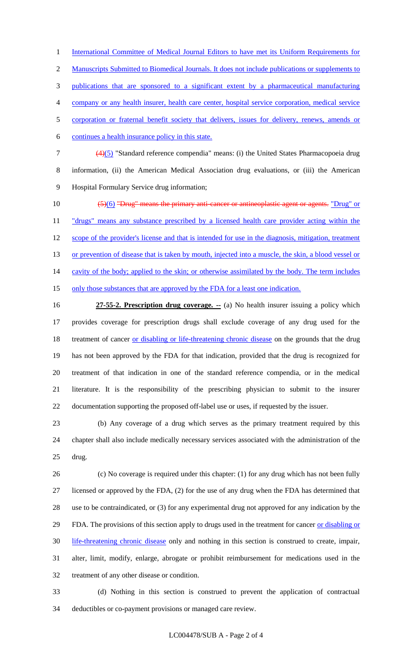1 International Committee of Medical Journal Editors to have met its Uniform Requirements for 2 Manuscripts Submitted to Biomedical Journals. It does not include publications or supplements to publications that are sponsored to a significant extent by a pharmaceutical manufacturing company or any health insurer, health care center, hospital service corporation, medical service corporation or fraternal benefit society that delivers, issues for delivery, renews, amends or continues a health insurance policy in this state.

- (4)(5) "Standard reference compendia" means: (i) the United States Pharmacopoeia drug information, (ii) the American Medical Association drug evaluations, or (iii) the American Hospital Formulary Service drug information;
- 10 (5)(6) "Drug" means the primary anti-cancer or antineoplastic agent or agents. "Drug" or 11 "drugs" means any substance prescribed by a licensed health care provider acting within the 12 scope of the provider's license and that is intended for use in the diagnosis, mitigation, treatment 13 or prevention of disease that is taken by mouth, injected into a muscle, the skin, a blood vessel or 14 cavity of the body; applied to the skin; or otherwise assimilated by the body. The term includes 15 only those substances that are approved by the FDA for a least one indication.

**27-55-2. Prescription drug coverage.** -- (a) No health insurer issuing a policy which provides coverage for prescription drugs shall exclude coverage of any drug used for the 18 treatment of cancer or disabling or life-threatening chronic disease on the grounds that the drug has not been approved by the FDA for that indication, provided that the drug is recognized for treatment of that indication in one of the standard reference compendia, or in the medical literature. It is the responsibility of the prescribing physician to submit to the insurer documentation supporting the proposed off-label use or uses, if requested by the issuer.

 (b) Any coverage of a drug which serves as the primary treatment required by this chapter shall also include medically necessary services associated with the administration of the drug.

 (c) No coverage is required under this chapter: (1) for any drug which has not been fully licensed or approved by the FDA, (2) for the use of any drug when the FDA has determined that use to be contraindicated, or (3) for any experimental drug not approved for any indication by the FDA. The provisions of this section apply to drugs used in the treatment for cancer or disabling or 30 life-threatening chronic disease only and nothing in this section is construed to create, impair, alter, limit, modify, enlarge, abrogate or prohibit reimbursement for medications used in the treatment of any other disease or condition.

 (d) Nothing in this section is construed to prevent the application of contractual deductibles or co-payment provisions or managed care review.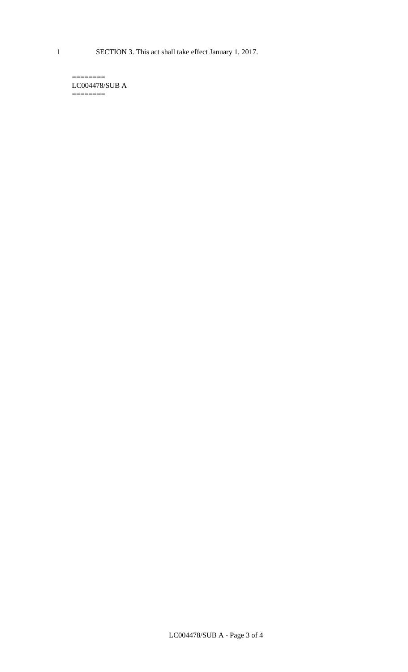LC004478/SUB A ========

 $=$